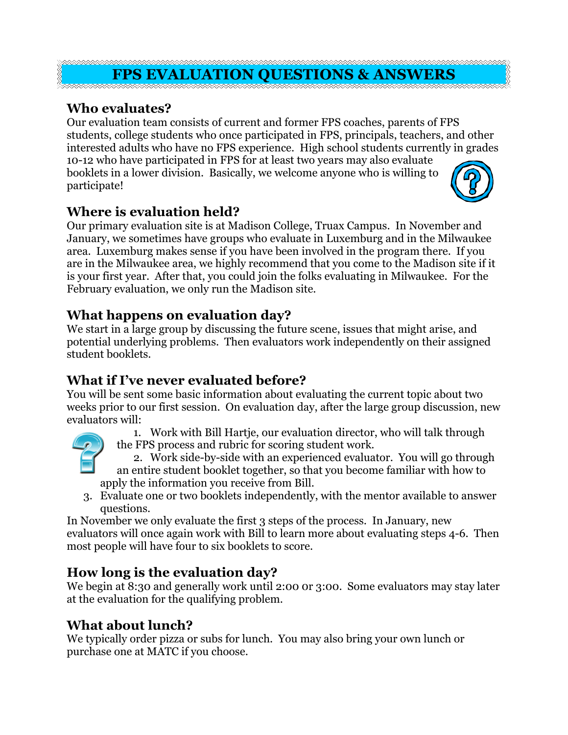#### <u>XXXXXXXXXXXXXXXXXXXXXXXXXX</u> **FPS EVALUATION QUESTIONS & ANSWERS**

## **Who evaluates?**

Our evaluation team consists of current and former FPS coaches, parents of FPS students, college students who once participated in FPS, principals, teachers, and other interested adults who have no FPS experience. High school students currently in grades 10-12 who have participated in FPS for at least two years may also evaluate booklets in a lower division. Basically, we welcome anyone who is willing to participate!



Our primary evaluation site is at Madison College, Truax Campus. In November and January, we sometimes have groups who evaluate in Luxemburg and in the Milwaukee area. Luxemburg makes sense if you have been involved in the program there. If you are in the Milwaukee area, we highly recommend that you come to the Madison site if it is your first year. After that, you could join the folks evaluating in Milwaukee. For the February evaluation, we only run the Madison site.

# **What happens on evaluation day?**

We start in a large group by discussing the future scene, issues that might arise, and potential underlying problems. Then evaluators work independently on their assigned student booklets.

# **What if I've never evaluated before?**

You will be sent some basic information about evaluating the current topic about two weeks prior to our first session. On evaluation day, after the large group discussion, new evaluators will:



1. Work with Bill Hartje, our evaluation director, who will talk through the FPS process and rubric for scoring student work.

2. Work side-by-side with an experienced evaluator. You will go through an entire student booklet together, so that you become familiar with how to apply the information you receive from Bill.

3. Evaluate one or two booklets independently, with the mentor available to answer questions.

In November we only evaluate the first 3 steps of the process. In January, new evaluators will once again work with Bill to learn more about evaluating steps 4-6. Then most people will have four to six booklets to score.

# **How long is the evaluation day?**

We begin at 8:30 and generally work until 2:00 or 3:00. Some evaluators may stay later at the evaluation for the qualifying problem.

# **What about lunch?**

We typically order pizza or subs for lunch. You may also bring your own lunch or purchase one at MATC if you choose.